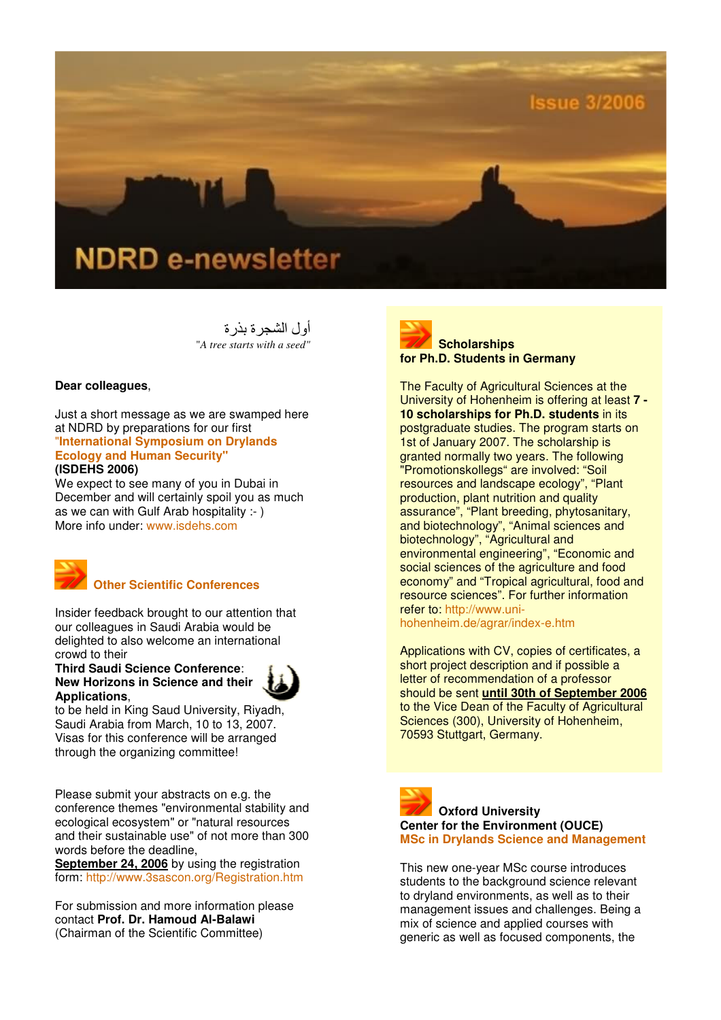

أول الشجر ة بذر ة "*A tree starts with a seed"*

## **Dear colleagues**,

Just a short message as we are swamped here at NDRD by preparations for our first "**International Symposium on Drylands Ecology and Human Security" (ISDEHS 2006)**

We expect to see many of you in Dubai in December and will certainly spoil you as much as we can with Gulf Arab hospitality :- ) More info under: www.isdehs.com



# **Other Scientific Conferences**

Insider feedback brought to our attention that our colleagues in Saudi Arabia would be delighted to also welcome an international crowd to their

**Third Saudi Science Conference**: **New Horizons in Science and their Applications**,



to be held in King Saud University, Riyadh, Saudi Arabia from March, 10 to 13, 2007. Visas for this conference will be arranged through the organizing committee!

Please submit your abstracts on e.g. the conference themes "environmental stability and ecological ecosystem" or "natural resources and their sustainable use" of not more than 300 words before the deadline,

**September 24, 2006** by using the registration form: http://www.3sascon.org/Registration.htm

For submission and more information please contact **Prof. Dr. Hamoud Al-Balawi** (Chairman of the Scientific Committee)



The Faculty of Agricultural Sciences at the University of Hohenheim is offering at least **7 - 10 scholarships for Ph.D. students** in its postgraduate studies. The program starts on 1st of January 2007. The scholarship is granted normally two years. The following "Promotionskollegs" are involved: "Soil resources and landscape ecology", "Plant production, plant nutrition and quality assurance", "Plant breeding, phytosanitary, and biotechnology", "Animal sciences and biotechnology", "Agricultural and environmental engineering", "Economic and social sciences of the agriculture and food economy" and "Tropical agricultural, food and resource sciences". For further information refer to: http://www.unihohenheim.de/agrar/index-e.htm

Applications with CV, copies of certificates, a short project description and if possible a letter of recommendation of a professor should be sent **until 30th of September 2006** to the Vice Dean of the Faculty of Agricultural Sciences (300), University of Hohenheim, 70593 Stuttgart, Germany.



This new one-year MSc course introduces students to the background science relevant to dryland environments, as well as to their management issues and challenges. Being a mix of science and applied courses with generic as well as focused components, the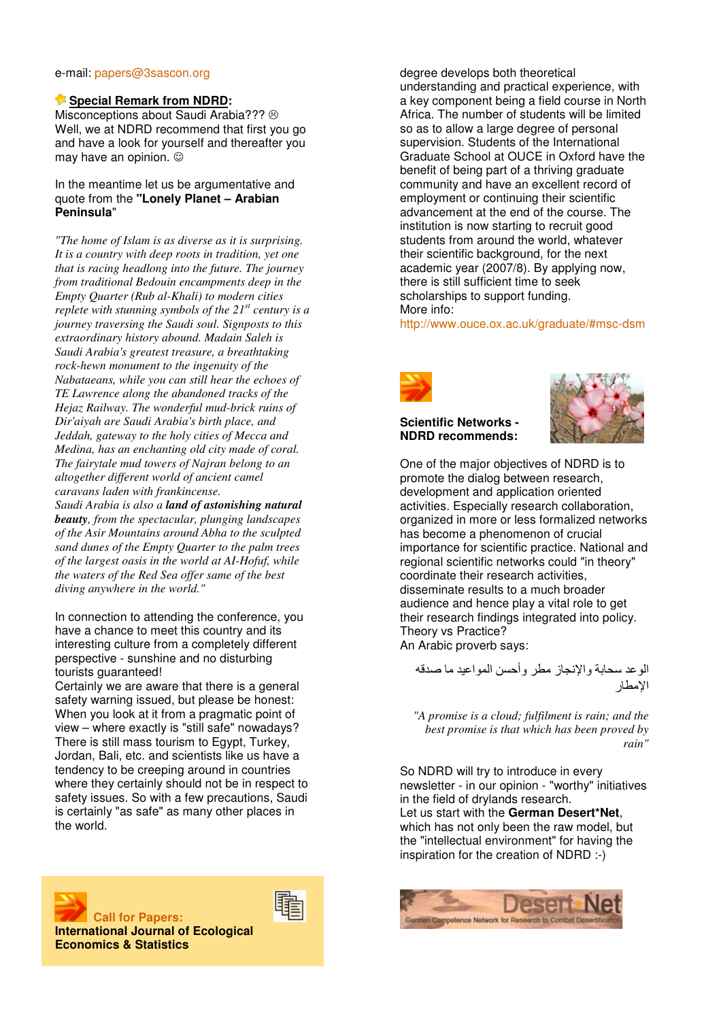#### e-mail: papers@3sascon.org

#### **Special Remark from NDRD:**

Misconceptions about Saudi Arabia??? @ Well, we at NDRD recommend that first you go and have a look for yourself and thereafter you may have an opinion.  $\odot$ 

### In the meantime let us be argumentative and quote from the **"Lonely Planet – Arabian Peninsula**"

*"The home of Islam is as diverse as it is surprising. It is a country with deep roots in tradition, yet one that is racing headlong into the future. The journey from traditional Bedouin encampments deep in the Empty Quarter (Rub al-Khali) to modern cities replete with stunning symbols of the 21st century is a journey traversing the Saudi soul. Signposts to this extraordinary history abound. Madain Saleh is Saudi Arabia's greatest treasure, a breathtaking rock-hewn monument to the ingenuity of the Nabataeans, while you can still hear the echoes of TE Lawrence along the abandoned tracks of the Hejaz Railway. The wonderful mud-brick ruins of Dir'aiyah are Saudi Arabia's birth place, and Jeddah, gateway to the holy cities of Mecca and Medina, has an enchanting old city made of coral. The fairytale mud towers of Najran belong to an altogether different world of ancient camel caravans laden with frankincense.* 

*Saudi Arabia is also a land of astonishing natural beauty, from the spectacular, plunging landscapes of the Asir Mountains around Abha to the sculpted sand dunes of the Empty Quarter to the palm trees of the largest oasis in the world at AI-Hofuf, while the waters of the Red Sea offer same of the best diving anywhere in the world."*

In connection to attending the conference, you have a chance to meet this country and its interesting culture from a completely different perspective - sunshine and no disturbing tourists guaranteed!

Certainly we are aware that there is a general safety warning issued, but please be honest: When you look at it from a pragmatic point of view – where exactly is "still safe" nowadays? There is still mass tourism to Egypt, Turkey, Jordan, Bali, etc. and scientists like us have a tendency to be creeping around in countries where they certainly should not be in respect to safety issues. So with a few precautions, Saudi is certainly "as safe" as many other places in the world.





 **Call for Papers: International Journal of Ecological Economics & Statistics**



http://www.ouce.ox.ac.uk/graduate/#msc-dsm



### **Scientific Networks - NDRD recommends:**



One of the major objectives of NDRD is to promote the dialog between research, development and application oriented activities. Especially research collaboration, organized in more or less formalized networks has become a phenomenon of crucial importance for scientific practice. National and regional scientific networks could "in theory" coordinate their research activities, disseminate results to a much broader audience and hence play a vital role to get their research findings integrated into policy. Theory vs Practice? An Arabic proverb says:

الو عد سحابة و الإنجاز ًمطر و أحسن المو اعيد ما صدقه الامطار

*"A promise is a cloud; fulfilment is rain; and the best promise is that which has been proved by rain"* 

So NDRD will try to introduce in every newsletter - in our opinion - "worthy" initiatives in the field of drylands research. Let us start with the **German Desert\*Net**, which has not only been the raw model, but the "intellectual environment" for having the inspiration for the creation of NDRD :-)